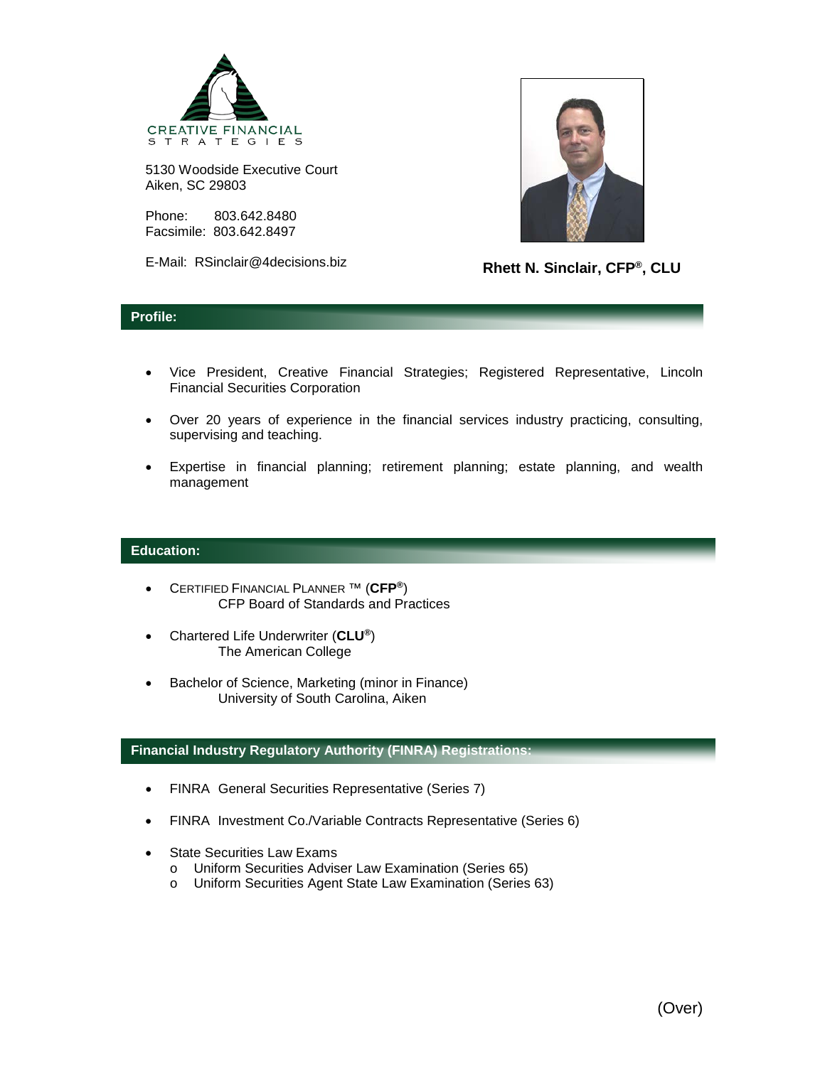

5130 Woodside Executive Court Aiken, SC 29803

Phone: 803.642.8480 Facsimile: 803.642.8497

E-Mail: RSinclair@4decisions.biz



**Rhett N. Sinclair, CFP®, CLU**

## **Profile:**

- Vice President, Creative Financial Strategies; Registered Representative, Lincoln Financial Securities Corporation
- Over 20 years of experience in the financial services industry practicing, consulting, supervising and teaching.
- Expertise in financial planning; retirement planning; estate planning, and wealth management

## **Education:**

- CERTIFIED FINANCIAL PLANNER ™ (**CFP®**) CFP Board of Standards and Practices
- Chartered Life Underwriter (**CLU®**) The American College
- Bachelor of Science, Marketing (minor in Finance) University of South Carolina, Aiken

## **Financial Industry Regulatory Authority (FINRA) Registrations:**

- FINRA General Securities Representative (Series 7)
- FINRA Investment Co./Variable Contracts Representative (Series 6)
- **State Securities Law Exams** 
	- o Uniform Securities Adviser Law Examination (Series 65)
	- o Uniform Securities Agent State Law Examination (Series 63)